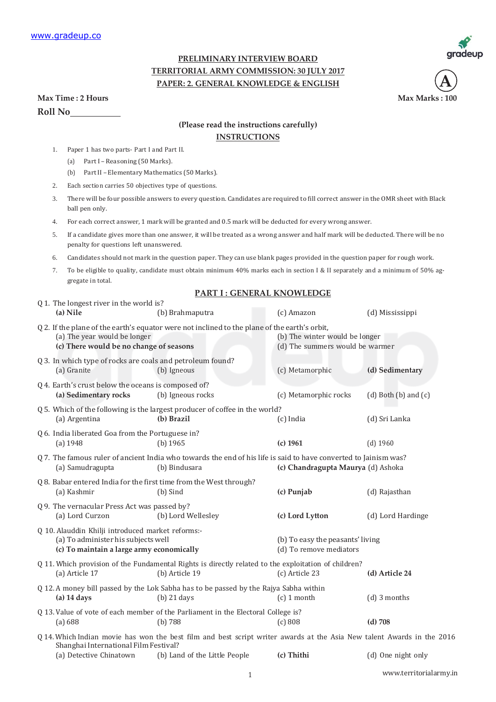

**Max Marks : 100** 

**A**

## **PRELIMINARY INTERVIEW BOARD TERRITORIAL ARMY COMMISSION: 30 JULY 2017 PAPER: 2. GENERAL KNOWLEDGE & ENGLISH**

| Max Time: 2 Hours |
|-------------------|
| <b>Roll No</b>    |

## **(Please read the instructions carefully)**

## **INSTRUCTIONS**

- 1. Paper 1 has two parts- Part I and Part II.
	- (a) Part I Reasoning (50 Marks).
	- (b) Part II Elementary Mathematics (50 Marks).
- 2. Each section carries 50 objectives type of questions.
- 3. There will be four possible answers to every question. Candidates are required to fill correct answer in the OMR sheet with Black ball pen only.
- 4. For each correct answer, 1 mark will be granted and 0.5 mark will be deducted for every wrong answer.
- 5. If a candidate gives more than one answer, it will be treated as a wrong answer and half mark will be deducted. There will be no penalty for questions left unanswered.
- 6. Candidates should not mark in the question paper. They can use blank pages provided in the question paper for rough work.
- 7. To be eligible to quality, candidate must obtain minimum 40% marks each in section I & II separately and a minimum of 50% aggregate in total.

## **PART I : GENERAL KNOWLEDGE**

| Q 1. The longest river in the world is?                                                                                                                                                     |                                                                                                                                                         |                                                                   |                            |  |  |
|---------------------------------------------------------------------------------------------------------------------------------------------------------------------------------------------|---------------------------------------------------------------------------------------------------------------------------------------------------------|-------------------------------------------------------------------|----------------------------|--|--|
| (a) Nile                                                                                                                                                                                    | (b) Brahmaputra                                                                                                                                         | (c) Amazon                                                        | (d) Mississippi            |  |  |
| (a) The year would be longer<br>(c) There would be no change of seasons                                                                                                                     | Q 2. If the plane of the earth's equator were not inclined to the plane of the earth's orbit,                                                           | (b) The winter would be longer<br>(d) The summers would be warmer |                            |  |  |
| Q 3. In which type of rocks are coals and petroleum found?<br>(a) Granite                                                                                                                   | (b) Igneous                                                                                                                                             | (c) Metamorphic                                                   | (d) Sedimentary            |  |  |
| Q 4. Earth's crust below the oceans is composed of?<br>(a) Sedimentary rocks                                                                                                                | (b) Igneous rocks                                                                                                                                       | (c) Metamorphic rocks                                             | $(d)$ Both $(b)$ and $(c)$ |  |  |
| (a) Argentina                                                                                                                                                                               | Q 5. Which of the following is the largest producer of coffee in the world?<br>(b) Brazil                                                               | (c) India                                                         | (d) Sri Lanka              |  |  |
| Q 6. India liberated Goa from the Portuguese in?<br>(a) 1948                                                                                                                                | $(b)$ 1965                                                                                                                                              | $(c)$ 1961                                                        | $(d)$ 1960                 |  |  |
| Q 7. The famous ruler of ancient India who towards the end of his life is said to have converted to Jainism was?<br>(a) Samudragupta<br>(b) Bindusara<br>(c) Chandragupta Maurya (d) Ashoka |                                                                                                                                                         |                                                                   |                            |  |  |
| (a) Kashmir                                                                                                                                                                                 | Q 8. Babar entered India for the first time from the West through?<br>(b) Sind                                                                          | (c) Punjab                                                        | (d) Rajasthan              |  |  |
| Q 9. The vernacular Press Act was passed by?<br>(a) Lord Curzon                                                                                                                             | (b) Lord Wellesley                                                                                                                                      | (c) Lord Lytton                                                   | (d) Lord Hardinge          |  |  |
| Q 10. Alauddin Khilji introduced market reforms:-<br>(a) To administer his subjects well<br>(c) To maintain a large army economically                                                       |                                                                                                                                                         | (b) To easy the peasants' living<br>(d) To remove mediators       |                            |  |  |
| (a) Article 17                                                                                                                                                                              | Q 11. Which provision of the Fundamental Rights is directly related to the exploitation of children?<br>(b) Article 19                                  | (c) Article 23                                                    | (d) Article 24             |  |  |
| $(a)$ 14 days                                                                                                                                                                               | Q 12. A money bill passed by the Lok Sabha has to be passed by the Rajya Sabha within<br>$(b)$ 21 days                                                  | $(c)$ 1 month                                                     | (d) 3 months               |  |  |
| (a) 688                                                                                                                                                                                     | Q 13. Value of vote of each member of the Parliament in the Electoral College is?<br>(b) 788                                                            | (c) 808                                                           | $(d)$ 708                  |  |  |
| Shanghai International Film Festival?<br>(a) Detective Chinatown                                                                                                                            | Q 14. Which Indian movie has won the best film and best script writer awards at the Asia New talent Awards in the 2016<br>(b) Land of the Little People | (c) Thithi                                                        | (d) One night only         |  |  |
|                                                                                                                                                                                             |                                                                                                                                                         |                                                                   |                            |  |  |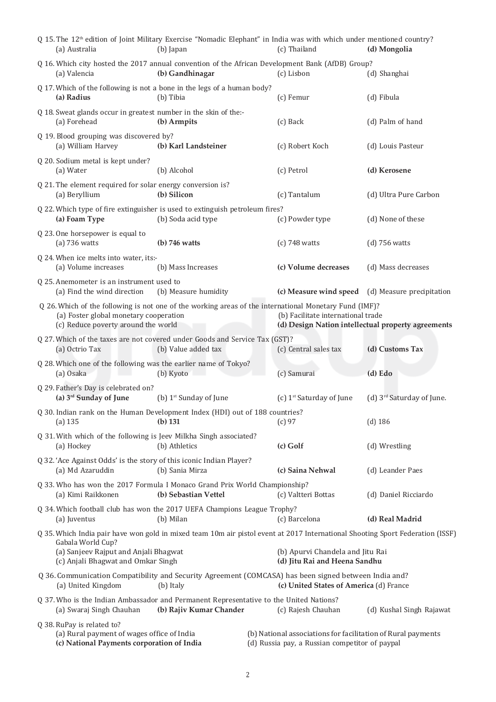| Q 15. The 12 <sup>th</sup> edition of Joint Military Exercise "Nomadic Elephant" in India was with which under mentioned country?<br>(a) Australia                                                                                                                                  | (b) Japan                          |  | (c) Thailand                                                                                                   | (d) Mongolia                          |
|-------------------------------------------------------------------------------------------------------------------------------------------------------------------------------------------------------------------------------------------------------------------------------------|------------------------------------|--|----------------------------------------------------------------------------------------------------------------|---------------------------------------|
| Q 16. Which city hosted the 2017 annual convention of the African Development Bank (AfDB) Group?<br>(a) Valencia                                                                                                                                                                    | (b) Gandhinagar                    |  | (c) Lisbon                                                                                                     | (d) Shanghai                          |
| Q 17. Which of the following is not a bone in the legs of a human body?<br>(a) Radius                                                                                                                                                                                               | (b) Tibia                          |  | (c) Femur                                                                                                      | (d) Fibula                            |
| Q 18. Sweat glands occur in greatest number in the skin of the:-<br>(a) Forehead                                                                                                                                                                                                    | (b) Armpits                        |  | (c) Back                                                                                                       | (d) Palm of hand                      |
| Q 19. Blood grouping was discovered by?<br>(a) William Harvey                                                                                                                                                                                                                       | (b) Karl Landsteiner               |  | (c) Robert Koch                                                                                                | (d) Louis Pasteur                     |
| Q 20. Sodium metal is kept under?<br>(a) Water                                                                                                                                                                                                                                      | (b) Alcohol                        |  | (c) Petrol                                                                                                     | (d) Kerosene                          |
| Q 21. The element required for solar energy conversion is?<br>(a) Beryllium                                                                                                                                                                                                         | (b) Silicon                        |  | (c) Tantalum                                                                                                   | (d) Ultra Pure Carbon                 |
| Q 22. Which type of fire extinguisher is used to extinguish petroleum fires?<br>(a) Foam Type                                                                                                                                                                                       | (b) Soda acid type                 |  | (c) Powder type                                                                                                | (d) None of these                     |
| Q 23. One horsepower is equal to<br>$(a)$ 736 watts                                                                                                                                                                                                                                 | $(b)$ 746 watts                    |  | $(c)$ 748 watts                                                                                                | $(d)$ 756 watts                       |
| Q 24. When ice melts into water, its:-<br>(a) Volume increases                                                                                                                                                                                                                      | (b) Mass Increases                 |  | (c) Volume decreases                                                                                           | (d) Mass decreases                    |
| Q 25. Anemometer is an instrument used to<br>(a) Find the wind direction                                                                                                                                                                                                            | (b) Measure humidity               |  | (c) Measure wind speed                                                                                         | (d) Measure precipitation             |
| Q 26. Which of the following is not one of the working areas of the international Monetary Fund (IMF)?<br>(a) Foster global monetary cooperation<br>(b) Facilitate international trade<br>(d) Design Nation intellectual property agreements<br>(c) Reduce poverty around the world |                                    |  |                                                                                                                |                                       |
| Q 27. Which of the taxes are not covered under Goods and Service Tax (GST)?<br>(a) Octrio Tax                                                                                                                                                                                       | (b) Value added tax                |  | (c) Central sales tax                                                                                          | (d) Customs Tax                       |
| Q 28. Which one of the following was the earlier name of Tokyo?<br>(a) Osaka                                                                                                                                                                                                        | (b) Kyoto                          |  | (c) Samurai                                                                                                    | (d) Edo                               |
| Q 29. Father's Day is celebrated on?<br>(a) 3 <sup>rd</sup> Sunday of June                                                                                                                                                                                                          | (b) 1 <sup>st</sup> Sunday of June |  | (c) 1 <sup>st</sup> Saturday of June                                                                           | (d) 3 <sup>rd</sup> Saturday of June. |
| Q 30. Indian rank on the Human Development Index (HDI) out of 188 countries?<br>(a) 135                                                                                                                                                                                             | (b) 131                            |  | (c) 97                                                                                                         | $(d)$ 186                             |
| Q 31. With which of the following is Jeev Milkha Singh associated?<br>(a) Hockey                                                                                                                                                                                                    | (b) Athletics                      |  | (c) Golf                                                                                                       | (d) Wrestling                         |
| Q 32. 'Ace Against Odds' is the story of this iconic Indian Player?<br>(a) Md Azaruddin                                                                                                                                                                                             | (b) Sania Mirza                    |  | (c) Saina Nehwal                                                                                               | (d) Leander Paes                      |
| Q 33. Who has won the 2017 Formula I Monaco Grand Prix World Championship?<br>(a) Kimi Raikkonen                                                                                                                                                                                    | (b) Sebastian Vettel               |  | (c) Valtteri Bottas                                                                                            | (d) Daniel Ricciardo                  |
| Q 34. Which football club has won the 2017 UEFA Champions League Trophy?<br>(a) Juventus                                                                                                                                                                                            | (b) Milan                          |  | (c) Barcelona                                                                                                  | (d) Real Madrid                       |
| Q 35. Which India pair have won gold in mixed team 10m air pistol event at 2017 International Shooting Sport Federation (ISSF)<br>Gabala World Cup?<br>(a) Sanjeev Rajput and Anjali Bhagwat<br>(c) Anjali Bhagwat and Omkar Singh                                                  |                                    |  | (b) Apurvi Chandela and Jitu Rai<br>(d) Jitu Rai and Heena Sandhu                                              |                                       |
| Q 36. Communication Compatibility and Security Agreement (COMCASA) has been signed between India and?<br>(a) United Kingdom                                                                                                                                                         | (b) Italy                          |  | (c) United States of America (d) France                                                                        |                                       |
| Q 37. Who is the Indian Ambassador and Permanent Representative to the United Nations?<br>(a) Swaraj Singh Chauhan                                                                                                                                                                  | (b) Rajiv Kumar Chander            |  | (c) Rajesh Chauhan                                                                                             | (d) Kushal Singh Rajawat              |
| Q 38. RuPay is related to?<br>(a) Rural payment of wages office of India<br>(c) National Payments corporation of India                                                                                                                                                              |                                    |  | (b) National associations for facilitation of Rural payments<br>(d) Russia pay, a Russian competitor of paypal |                                       |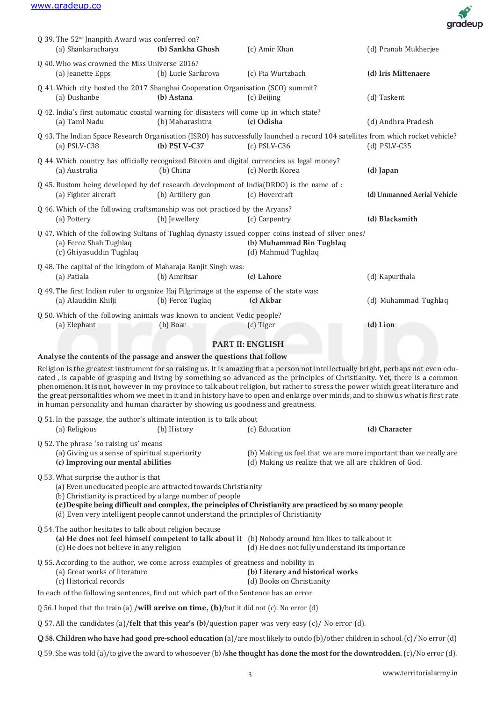

|                                                                                                                                                                                                                                                                                                                                                                                                                                                                                                                                                                                                                                                                                                         |                     |                                                                                                                                                       | a <sub>i m</sub>            |  |
|---------------------------------------------------------------------------------------------------------------------------------------------------------------------------------------------------------------------------------------------------------------------------------------------------------------------------------------------------------------------------------------------------------------------------------------------------------------------------------------------------------------------------------------------------------------------------------------------------------------------------------------------------------------------------------------------------------|---------------------|-------------------------------------------------------------------------------------------------------------------------------------------------------|-----------------------------|--|
| Q 39. The 52 <sup>nd</sup> Jnanpith Award was conferred on?<br>(a) Shankaracharya                                                                                                                                                                                                                                                                                                                                                                                                                                                                                                                                                                                                                       | (b) Sankha Ghosh    | (c) Amir Khan                                                                                                                                         | (d) Pranab Mukherjee        |  |
| Q 40. Who was crowned the Miss Universe 2016?<br>(a) Jeanette Epps                                                                                                                                                                                                                                                                                                                                                                                                                                                                                                                                                                                                                                      | (b) Lucie Sarfarova | (c) Pia Wurtzbach                                                                                                                                     | (d) Iris Mittenaere         |  |
| Q 41. Which city hosted the 2017 Shanghai Cooperation Organisation (SCO) summit?<br>(a) Dushanbe                                                                                                                                                                                                                                                                                                                                                                                                                                                                                                                                                                                                        | (b) Astana          | (c) Beijing                                                                                                                                           | (d) Taskent                 |  |
| Q 42. India's first automatic coastal warning for disasters will come up in which state?<br>(a) Taml Nadu                                                                                                                                                                                                                                                                                                                                                                                                                                                                                                                                                                                               | (b) Maharashtra     | (c) Odisha                                                                                                                                            | (d) Andhra Pradesh          |  |
| (a) $PSLV-C38$                                                                                                                                                                                                                                                                                                                                                                                                                                                                                                                                                                                                                                                                                          | $(b)$ PSLV-C37      | Q 43. The Indian Space Research Organisation (ISRO) has successfully launched a record 104 satellites from which rocket vehicle?<br>$(c)$ PSLV-C36    | $(d)$ PSLV-C35              |  |
| Q 44. Which country has officially recognized Bitcoin and digital currencies as legal money?<br>(a) Australia                                                                                                                                                                                                                                                                                                                                                                                                                                                                                                                                                                                           | (b) China           | (c) North Korea                                                                                                                                       | (d) Japan                   |  |
| Q 45. Rustom being developed by def research development of India(DRDO) is the name of :<br>(a) Fighter aircraft                                                                                                                                                                                                                                                                                                                                                                                                                                                                                                                                                                                        | (b) Artillery gun   | (c) Hovercraft                                                                                                                                        | (d) Unmanned Aerial Vehicle |  |
| Q 46. Which of the following craftsmanship was not practiced by the Aryans?<br>(a) Pottery                                                                                                                                                                                                                                                                                                                                                                                                                                                                                                                                                                                                              | (b) Jewellery       | (c) Carpentry                                                                                                                                         | (d) Blacksmith              |  |
| (a) Feroz Shah Tughlaq<br>(c) Ghiyasuddin Tughlaq                                                                                                                                                                                                                                                                                                                                                                                                                                                                                                                                                                                                                                                       |                     | Q 47. Which of the following Sultans of Tughlaq dynasty issued copper coins instead of silver ones?<br>(b) Muhammad Bin Tughlaq<br>(d) Mahmud Tughlaq |                             |  |
| Q 48. The capital of the kingdom of Maharaja Ranjit Singh was:<br>(a) Patiala                                                                                                                                                                                                                                                                                                                                                                                                                                                                                                                                                                                                                           | (b) Amritsar        | (c) Lahore                                                                                                                                            | (d) Kapurthala              |  |
| Q 49. The first Indian ruler to organize Haj Pilgrimage at the expense of the state was:<br>(a) Alauddin Khilji                                                                                                                                                                                                                                                                                                                                                                                                                                                                                                                                                                                         | (b) Feroz Tuglaq    | (c) Akbar                                                                                                                                             | (d) Muhammad Tughlaq        |  |
| Q 50. Which of the following animals was known to ancient Vedic people?<br>(a) Elephant                                                                                                                                                                                                                                                                                                                                                                                                                                                                                                                                                                                                                 | (b) Boar            | (c) Tiger                                                                                                                                             | (d) Lion                    |  |
|                                                                                                                                                                                                                                                                                                                                                                                                                                                                                                                                                                                                                                                                                                         |                     | <b>PART II: ENGLISH</b>                                                                                                                               |                             |  |
|                                                                                                                                                                                                                                                                                                                                                                                                                                                                                                                                                                                                                                                                                                         |                     |                                                                                                                                                       |                             |  |
| Analyse the contents of the passage and answer the questions that follow<br>Religion is the greatest instrument for so raising us. It is amazing that a person not intellectually bright, perhaps not even edu-<br>cated, is capable of grasping and living by something so advanced as the principles of Christianity. Yet, there is a common<br>phenomenon. It is not, however in my province to talk about religion, but rather to stress the power which great literature and<br>the great personalities whom we meet in it and in history have to open and enlarge over minds, and to show us what is first rate<br>in human personality and human character by showing us goodness and greatness. |                     |                                                                                                                                                       |                             |  |
| Q 51. In the passage, the author's ultimate intention is to talk about<br>(a) Religious                                                                                                                                                                                                                                                                                                                                                                                                                                                                                                                                                                                                                 | (b) History         | (c) Education                                                                                                                                         | (d) Character               |  |
| Q 52. The phrase 'so raising us' means<br>(a) Giving us a sense of spiritual superiority<br>(c) Improving our mental abilities                                                                                                                                                                                                                                                                                                                                                                                                                                                                                                                                                                          |                     | (b) Making us feel that we are more important than we really are<br>(d) Making us realize that we all are children of God.                            |                             |  |
| Q 53. What surprise the author is that<br>(a) Even uneducated people are attracted towards Christianity<br>(b) Christianity is practiced by a large number of people<br>(c) Despite being difficult and complex, the principles of Christianity are practiced by so many people<br>(d) Even very intelligent people cannot understand the principles of Christianity                                                                                                                                                                                                                                                                                                                                    |                     |                                                                                                                                                       |                             |  |
| Q 54. The author hesitates to talk about religion because<br>(a) He does not feel himself competent to talk about it (b) Nobody around him likes to talk about it<br>(c) He does not believe in any religion<br>(d) He does not fully understand its importance                                                                                                                                                                                                                                                                                                                                                                                                                                         |                     |                                                                                                                                                       |                             |  |
| Q 55. According to the author, we come across examples of greatness and nobility in<br>(a) Great works of literature<br>(b) Literary and historical works<br>(c) Historical records<br>(d) Books on Christianity                                                                                                                                                                                                                                                                                                                                                                                                                                                                                        |                     |                                                                                                                                                       |                             |  |
| In each of the following sentences, find out which part of the Sentence has an error                                                                                                                                                                                                                                                                                                                                                                                                                                                                                                                                                                                                                    |                     |                                                                                                                                                       |                             |  |
| Q 56. I hoped that the train (a) /will arrive on time, (b)/but it did not (c). No error (d)                                                                                                                                                                                                                                                                                                                                                                                                                                                                                                                                                                                                             |                     |                                                                                                                                                       |                             |  |
|                                                                                                                                                                                                                                                                                                                                                                                                                                                                                                                                                                                                                                                                                                         |                     | Q 57. All the candidates (a)/felt that this year's (b)/question paper was very easy (c)/ No error (d).                                                |                             |  |
| Q 58. Children who have had good pre-school education (a)/are most likely to outdo (b)/other children in school. (c)/ No error (d)                                                                                                                                                                                                                                                                                                                                                                                                                                                                                                                                                                      |                     |                                                                                                                                                       |                             |  |

Q 59. She was told (a)/to give the award to whosoever (b**) /she thought has done the most forthe downtrodden.** (c)/No error (d).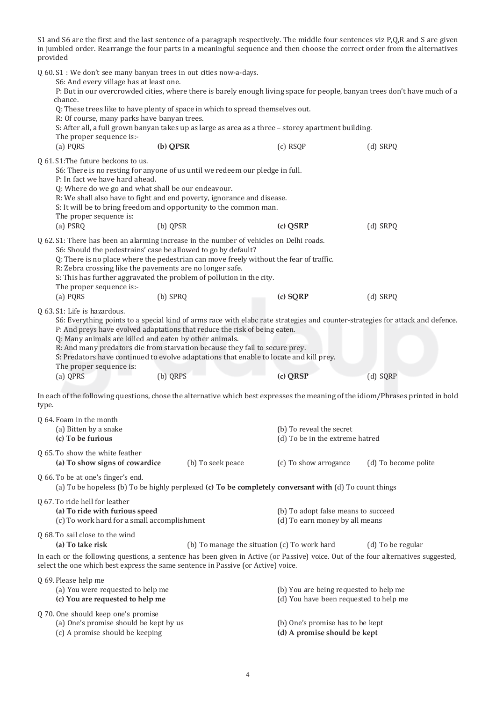S1 and S6 are the first and the last sentence of a paragraph respectively. The middle four sentences viz P,Q,R and S are given in jumbled order. Rearrange the four parts in a meaningful sequence and then choose the correct order from the alternatives provided

Q 60. S1 : We don't see many banyan trees in out cities now-a-days. S6: And every village has at least one. P: But in our overcrowded cities, where there is barely enough living space for people, banyan trees don't have much of a chance. Q: These trees like to have plenty of space in which to spread themselves out. R: Of course, many parks have banyan trees. S: After all, a full grown banyan takes up as large as area as a three – storey apartment building. The proper sequence is:- (a) PQRS **(b) QPSR** (c) RSQP (d) SRPQ Q 61. S1:The future beckons to us. S6: There is no resting for anyone of us until we redeem our pledge in full. P: In fact we have hard ahead. Q: Where do we go and what shall be our endeavour. R: We shall also have to fight and end poverty, ignorance and disease. S: It will be to bring freedom and opportunity to the common man. The proper sequence is: (a) PSRQ (b) QPSR **(c) QSRP** (d) SRPQ Q 62. S1: There has been an alarming increase in the number of vehicles on Delhi roads. S6: Should the pedestrains' case be allowed to go by default? Q: There is no place where the pedestrian can move freely without the fear of traffic. R: Zebra crossing like the pavements are no longer safe. S: This has further aggravated the problem of pollution in the city. The proper sequence is:- (a) PQRS (b) SPRQ **(c) SQRP** (d) SRPQ Q 63. S1: Life is hazardous. S6: Everything points to a special kind of arms race with elabc rate strategies and counter-strategies for attack and defence. P: And preys have evolved adaptations that reduce the risk of being eaten. Q: Many animals are killed and eaten by other animals. R: And many predators die from starvation because they fail to secure prey. S: Predators have continued to evolve adaptations that enable to locate and kill prey. The proper sequence is: (a) QPRS (b) QRPS **(c) QRSP** (d) SQRP In each of the following questions, chose the alternative which best expresses the meaning of the idiom/Phrases printed in bold type. Q 64. Foam in the month (a) Bitten by a snake (b) To reveal the secret **(c) To be furious** (d) To be in the extreme hatred Q 65. To show the white feather **(a) To show signs of cowardice** (b) To seek peace (c) To show arrogance (d) To become polite Q 66. To be at one's finger's end. (a) To be hopeless (b) To be highly perplexed **(c) To be completely conversant with** (d) To count things Q 67. To ride hell for leather (a) **To ride with furious speed** (b) To adopt false means to succeed (c) To work hard for a small accomplishment (d) To earn money by all means  $(c)$  To work hard for a small accomplishment Q 68. To sail close to the wind **(a) To take risk** (b) To manage the situation (c) To work hard (d) To be regular In each or the following questions, a sentence has been given in Active (or Passive) voice. Out of the four alternatives suggested, select the one which best express the same sentence in Passive (or Active) voice. Q 69. Please help me (a) You were requested to help me (b) You are being requested to help me **(c) You are requested to help me** (d) You have been requested to help me Q 70. One should keep one's promise (a) One's promise should be kept by us (b) One's promise has to be kept (c) A promise should be keeping **(d) A promise should be kept**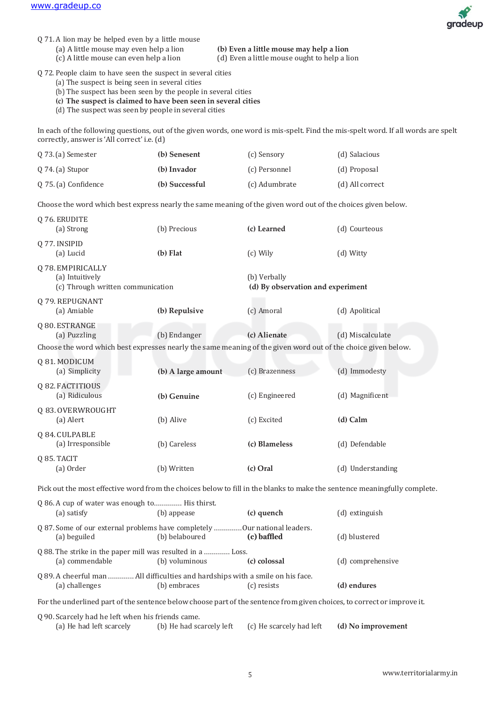

- Q 71. A lion may be helped even by a little mouse
	- (a) A little mouse may even help a lion **(b) Even a little mouse may help a lion**
		- $(d)$  Even a little mouse ought to help a lion

Q 72. People claim to have seen the suspect in several cities

- (a) The suspect is being seen in several cities
- (b) The suspect has been seen by the people in several cities
- **(c) The suspect is claimed to have been seen in several cities**
- (d) The suspect was seen by people in several cities

In each of the following questions, out of the given words, one word is mis-spelt. Find the mis-spelt word. If all words are spelt correctly, answer is 'All correct' i.e. (d)

| $0.73$ . (a) Semester | (b) Senesent   | (c) Sensory   | (d) Salacious   |
|-----------------------|----------------|---------------|-----------------|
| $0\,74$ . (a) Stupor  | (b) Invador    | (c) Personnel | (d) Proposal    |
| 0 75. (a) Confidence  | (b) Successful | (c) Adumbrate | (d) All correct |

Choose the word which best express nearly the same meaning of the given word out of the choices given below.

| Q 76. ERUDITE<br>(a) Strong                                                                                                                     | (b) Precious                                                                                                                    | (c) Learned                                       | (d) Courteous     |  |  |
|-------------------------------------------------------------------------------------------------------------------------------------------------|---------------------------------------------------------------------------------------------------------------------------------|---------------------------------------------------|-------------------|--|--|
| Q 77. INSIPID<br>(a) Lucid                                                                                                                      | $(b)$ Flat                                                                                                                      | (c) Wily                                          | (d) Witty         |  |  |
| Q 78. EMPIRICALLY<br>(a) Intuitively<br>(c) Through written communication                                                                       |                                                                                                                                 | (b) Verbally<br>(d) By observation and experiment |                   |  |  |
| Q 79. REPUGNANT<br>(a) Amiable                                                                                                                  | (b) Repulsive                                                                                                                   | (c) Amoral                                        | (d) Apolitical    |  |  |
| Q 80. ESTRANGE<br>(a) Puzzling<br>Choose the word which best expresses nearly the same meaning of the given word out of the choice given below. | (b) Endanger                                                                                                                    | (c) Alienate                                      | (d) Miscalculate  |  |  |
| Q 81. MODICUM<br>(a) Simplicity                                                                                                                 | (b) A large amount                                                                                                              | (c) Brazenness                                    | (d) Immodesty     |  |  |
| Q 82. FACTITIOUS<br>(a) Ridiculous                                                                                                              | (b) Genuine                                                                                                                     | (c) Engineered                                    | (d) Magnificent   |  |  |
| Q 83. OVERWROUGHT<br>(a) Alert                                                                                                                  | (b) Alive                                                                                                                       | (c) Excited                                       | (d) Calm          |  |  |
| Q 84. CULPABLE<br>(a) Irresponsible                                                                                                             | (b) Careless                                                                                                                    | (c) Blameless                                     | (d) Defendable    |  |  |
| Q 85. TACIT<br>(a) Order                                                                                                                        | (b) Written                                                                                                                     | (c) Oral                                          | (d) Understanding |  |  |
| Pick out the most effective word from the choices below to fill in the blanks to make the sentence meaningfully complete.                       |                                                                                                                                 |                                                   |                   |  |  |
| Q 86. A cup of water was enough to His thirst.<br>(a) satisfy                                                                                   | (b) appease                                                                                                                     | (c) quench                                        | (d) extinguish    |  |  |
| Q 87. Some of our external problems have completely Our national leaders.<br>(a) beguiled                                                       | (b) belaboured                                                                                                                  | (c) baffled                                       | (d) blustered     |  |  |
| Q 88. The strike in the paper mill was resulted in a  Loss.<br>(a) commendable                                                                  | (b) voluminous                                                                                                                  | (c) colossal                                      | (d) comprehensive |  |  |
| Q 89. A cheerful man  All difficulties and hardships with a smile on his face.<br>(a) challenges                                                | (b) embraces                                                                                                                    | (c) resists                                       | (d) endures       |  |  |
| For the underlined part of the sentence below choose part of the sentence from given choices, to correct or improve it.                         |                                                                                                                                 |                                                   |                   |  |  |
| (a) He had left scarcely                                                                                                                        | Q 90. Scarcely had he left when his friends came.<br>(b) He had scarcely left<br>(c) He scarcely had left<br>(d) No improvement |                                                   |                   |  |  |